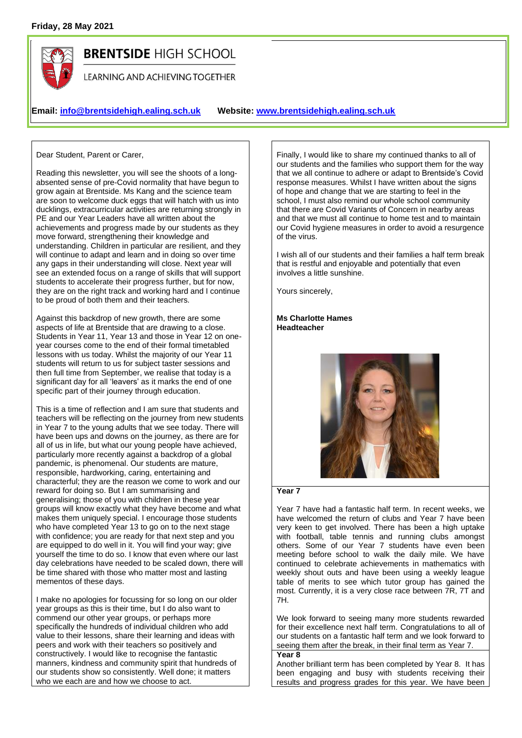

# **BRENTSIDE HIGH SCHOOL**

LEARNING AND ACHIEVING TOGETHER

# **Email: [info@brentsidehigh.ealing.sch.uk](mailto:info@brentsidehigh.ealing.sch.uk) Website: www.brentsidehigh.ealing.sch.uk**

Dear Student, Parent or Carer,

Reading this newsletter, you will see the shoots of a longabsented sense of pre-Covid normality that have begun to grow again at Brentside. Ms Kang and the science team are soon to welcome duck eggs that will hatch with us into ducklings, extracurricular activities are returning strongly in PE and our Year Leaders have all written about the achievements and progress made by our students as they move forward, strengthening their knowledge and understanding. Children in particular are resilient, and they will continue to adapt and learn and in doing so over time any gaps in their understanding will close. Next year will see an extended focus on a range of skills that will support students to accelerate their progress further, but for now, they are on the right track and working hard and I continue to be proud of both them and their teachers.

Against this backdrop of new growth, there are some aspects of life at Brentside that are drawing to a close. Students in Year 11, Year 13 and those in Year 12 on oneyear courses come to the end of their formal timetabled lessons with us today. Whilst the majority of our Year 11 students will return to us for subject taster sessions and then full time from September, we realise that today is a significant day for all 'leavers' as it marks the end of one specific part of their journey through education.

This is a time of reflection and I am sure that students and teachers will be reflecting on the journey from new students in Year 7 to the young adults that we see today. There will have been ups and downs on the journey, as there are for all of us in life, but what our young people have achieved, particularly more recently against a backdrop of a global pandemic, is phenomenal. Our students are mature, responsible, hardworking, caring, entertaining and characterful; they are the reason we come to work and our reward for doing so. But I am summarising and generalising; those of you with children in these year groups will know exactly what they have become and what makes them uniquely special. I encourage those students who have completed Year 13 to go on to the next stage with confidence; you are ready for that next step and you are equipped to do well in it. You will find your way; give yourself the time to do so. I know that even where our last day celebrations have needed to be scaled down, there will be time shared with those who matter most and lasting mementos of these days.

I make no apologies for focussing for so long on our older year groups as this is their time, but I do also want to commend our other year groups, or perhaps more specifically the hundreds of individual children who add value to their lessons, share their learning and ideas with peers and work with their teachers so positively and constructively. I would like to recognise the fantastic manners, kindness and community spirit that hundreds of our students show so consistently. Well done; it matters who we each are and how we choose to act.

Finally, I would like to share my continued thanks to all of our students and the families who support them for the way that we all continue to adhere or adapt to Brentside's Covid response measures. Whilst I have written about the signs of hope and change that we are starting to feel in the school, I must also remind our whole school community that there are Covid Variants of Concern in nearby areas and that we must all continue to home test and to maintain our Covid hygiene measures in order to avoid a resurgence of the virus.

I wish all of our students and their families a half term break that is restful and enjoyable and potentially that even involves a little sunshine.

Yours sincerely,

#### **Ms Charlotte Hames Headteacher**



#### **Year 7**

Year 7 have had a fantastic half term. In recent weeks, we have welcomed the return of clubs and Year 7 have been very keen to get involved. There has been a high uptake with football, table tennis and running clubs amongst others. Some of our Year 7 students have even been meeting before school to walk the daily mile. We have continued to celebrate achievements in mathematics with weekly shout outs and have been using a weekly league table of merits to see which tutor group has gained the most. Currently, it is a very close race between 7R, 7T and 7H.

We look forward to seeing many more students rewarded for their excellence next half term. Congratulations to all of our students on a fantastic half term and we look forward to seeing them after the break, in their final term as Year 7.

**Year 8**

Another brilliant term has been completed by Year 8. It has been engaging and busy with students receiving their results and progress grades for this year. We have been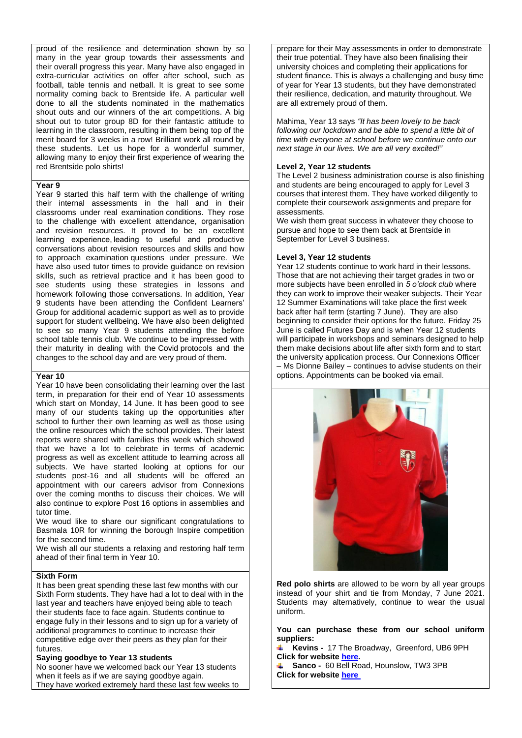proud of the resilience and determination shown by so many in the year group towards their assessments and their overall progress this year. Many have also engaged in extra-curricular activities on offer after school, such as football, table tennis and netball. It is great to see some normality coming back to Brentside life. A particular well done to all the students nominated in the mathematics shout outs and our winners of the art competitions. A big shout out to tutor group 8D for their fantastic attitude to learning in the classroom, resulting in them being top of the merit board for 3 weeks in a row! Brilliant work all round by these students. Let us hope for a wonderful summer, allowing many to enjoy their first experience of wearing the red Brentside polo shirts!

#### **Year 9**

Year 9 started this half term with the challenge of writing their internal assessments in the hall and in their classrooms under real examination conditions. They rose to the challenge with excellent attendance, organisation and revision resources. It proved to be an excellent learning experience, leading to useful and productive conversations about revision resources and skills and how to approach examination questions under pressure. We have also used tutor times to provide guidance on revision skills, such as retrieval practice and it has been good to see students using these strategies in lessons and homework following those conversations. In addition, Year 9 students have been attending the Confident Learners' Group for additional academic support as well as to provide support for student wellbeing. We have also been delighted to see so many Year 9 students attending the before school table tennis club. We continue to be impressed with their maturity in dealing with the Covid protocols and the changes to the school day and are very proud of them.

#### **Year 10**

Year 10 have been consolidating their learning over the last term, in preparation for their end of Year 10 assessments which start on Monday, 14 June. It has been good to see many of our students taking up the opportunities after school to further their own learning as well as those using the online resources which the school provides. Their latest reports were shared with families this week which showed that we have a lot to celebrate in terms of academic progress as well as excellent attitude to learning across all subjects. We have started looking at options for our students post-16 and all students will be offered an appointment with our careers advisor from Connexions over the coming months to discuss their choices. We will also continue to explore Post 16 options in assemblies and tutor time.

We woud like to share our significant congratulations to Basmala 10R for winning the borough Inspire competition for the second time.

We wish all our students a relaxing and restoring half term ahead of their final term in Year 10.

# **Sixth Form**

It has been great spending these last few months with our Sixth Form students. They have had a lot to deal with in the last year and teachers have enjoyed being able to teach their students face to face again. Students continue to engage fully in their lessons and to sign up for a variety of additional programmes to continue to increase their competitive edge over their peers as they plan for their futures.

# **Saying goodbye to Year 13 students**

No sooner have we welcomed back our Year 13 students when it feels as if we are saying goodbye again. They have worked extremely hard these last few weeks to prepare for their May assessments in order to demonstrate their true potential. They have also been finalising their university choices and completing their applications for student finance. This is always a challenging and busy time of year for Year 13 students, but they have demonstrated their resilience, dedication, and maturity throughout. We are all extremely proud of them.

Mahima, Year 13 says *"It has been lovely to be back following our lockdown and be able to spend a little bit of time with everyone at school before we continue onto our next stage in our lives. We are all very excited!"*

### **Level 2, Year 12 students**

The Level 2 business administration course is also finishing and students are being encouraged to apply for Level 3 courses that interest them. They have worked diligently to complete their coursework assignments and prepare for assessments.

We wish them great success in whatever they choose to pursue and hope to see them back at Brentside in September for Level 3 business.

#### **Level 3, Year 12 students**

Year 12 students continue to work hard in their lessons. Those that are not achieving their target grades in two or more subjects have been enrolled in *5 o'clock club* where they can work to improve their weaker subjects. Their Year 12 Summer Examinations will take place the first week back after half term (starting 7 June). They are also beginning to consider their options for the future. Friday 25 June is called Futures Day and is when Year 12 students will participate in workshops and seminars designed to help them make decisions about life after sixth form and to start the university application process. Our Connexions Officer – Ms Dionne Bailey – continues to advise students on their options. Appointments can be booked via email.



**Red polo shirts** are allowed to be worn by all year groups instead of your shirt and tie from Monday, 7 June 2021. Students may alternatively, continue to wear the usual uniform.

**You can purchase these from our school uniform suppliers:**

**Kevins -** 17 The Broadway, Greenford, UB6 9PH **Click for website [here.](https://kevins-schoolwear.co.uk/)**

**Sanco -** 60 Bell Road, Hounslow, TW3 3PB **Click for websit[e here](http://www.sanco.co.uk/school/46/)**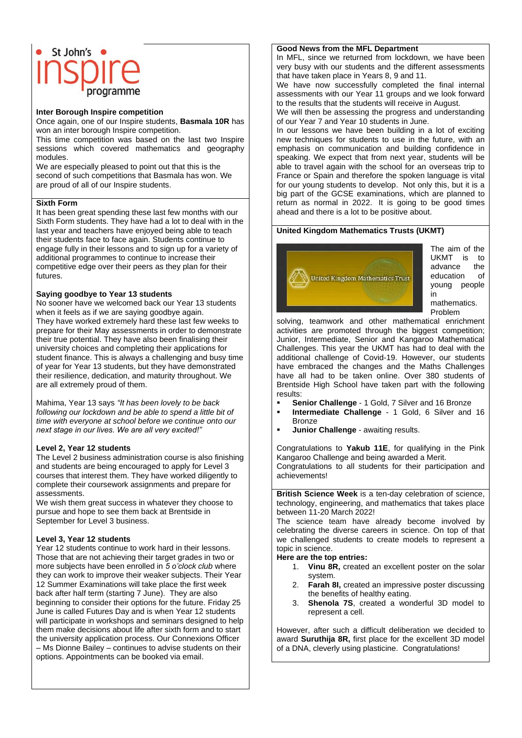# St John's  $\bullet$

#### **Inter Borough Inspire competition**

Once again, one of our Inspire students, **Basmala 10R** has won an inter borough Inspire competition.

This time competition was based on the last two Inspire sessions which covered mathematics and geography modules.

We are especially pleased to point out that this is the second of such competitions that Basmala has won. We are proud of all of our Inspire students.

#### **Sixth Form**

It has been great spending these last few months with our Sixth Form students. They have had a lot to deal with in the last year and teachers have enjoyed being able to teach their students face to face again. Students continue to engage fully in their lessons and to sign up for a variety of additional programmes to continue to increase their competitive edge over their peers as they plan for their futures.

#### **Saying goodbye to Year 13 students**

No sooner have we welcomed back our Year 13 students when it feels as if we are saying goodbye again. They have worked extremely hard these last few weeks to prepare for their May assessments in order to demonstrate their true potential. They have also been finalising their university choices and completing their applications for student finance. This is always a challenging and busy time of year for Year 13 students, but they have demonstrated their resilience, dedication, and maturity throughout. We are all extremely proud of them.

Mahima, Year 13 says *"It has been lovely to be back following our lockdown and be able to spend a little bit of time with everyone at school before we continue onto our next stage in our lives. We are all very excited!"*

#### **Level 2, Year 12 students**

The Level 2 business administration course is also finishing and students are being encouraged to apply for Level 3 courses that interest them. They have worked diligently to complete their coursework assignments and prepare for assessments.

We wish them great success in whatever they choose to pursue and hope to see them back at Brentside in September for Level 3 business.

#### **Level 3, Year 12 students**

Year 12 students continue to work hard in their lessons. Those that are not achieving their target grades in two or more subjects have been enrolled in *5 o'clock club* where they can work to improve their weaker subjects. Their Year 12 Summer Examinations will take place the first week back after half term (starting 7 June). They are also beginning to consider their options for the future. Friday 25 June is called Futures Day and is when Year 12 students will participate in workshops and seminars designed to help them make decisions about life after sixth form and to start the university application process. Our Connexions Officer – Ms Dionne Bailey – continues to advise students on their options. Appointments can be booked via email.

#### **Good News from the MFL Department**

In MFL, since we returned from lockdown, we have been very busy with our students and the different assessments that have taken place in Years 8, 9 and 11.

We have now successfully completed the final internal assessments with our Year 11 groups and we look forward to the results that the students will receive in August.

We will then be assessing the progress and understanding of our Year 7 and Year 10 students in June.

In our lessons we have been building in a lot of exciting new techniques for students to use in the future, with an emphasis on communication and building confidence in speaking. We expect that from next year, students will be able to travel again with the school for an overseas trip to France or Spain and therefore the spoken language is vital for our young students to develop. Not only this, but it is a big part of the GCSE examinations, which are planned to return as normal in 2022. It is going to be good times ahead and there is a lot to be positive about.

#### **United Kingdom Mathematics Trusts (UKMT)**



The aim of the UKMT is to advance the<br>education of education young people in mathematics. Problem

solving, teamwork and other mathematical enrichment activities are promoted through the biggest competition; Junior, Intermediate, Senior and Kangaroo Mathematical Challenges. This year the UKMT has had to deal with the additional challenge of Covid-19. However, our students have embraced the changes and the Maths Challenges have all had to be taken online. Over 380 students of Brentside High School have taken part with the following results:

- **Senior Challenge** 1 Gold, 7 Silver and 16 Bronze
- **Intermediate Challenge** 1 Gold, 6 Silver and 16 Bronze
- **Junior Challenge** awaiting results.

Congratulations to **Yakub 11E**, for qualifying in the Pink Kangaroo Challenge and being awarded a Merit. Congratulations to all students for their participation and achievements!

**British Science Week** is a ten-day celebration of science, technology, engineering, and mathematics that takes place between 11-20 March 2022!

The science team have already become involved by celebrating the diverse careers in science. On top of that we challenged students to create models to represent a topic in science.

#### **Here are the top entries:**

- 1. **Vinu 8R,** created an excellent poster on the solar system.
- 2. **Farah 8I,** created an impressive poster discussing the benefits of healthy eating.
- 3. **Shenola 7S**, created a wonderful 3D model to represent a cell.

However, after such a difficult deliberation we decided to award **Suruthija 8R,** first place for the excellent 3D model of a DNA, cleverly using plasticine. Congratulations!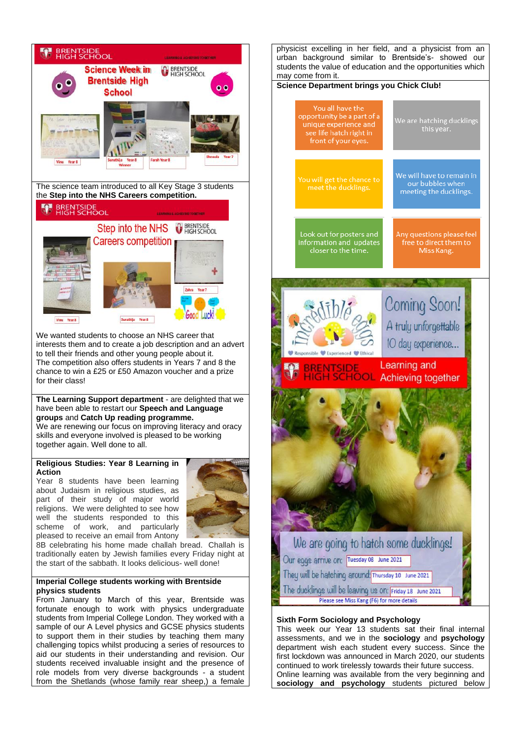

students from Imperial College London. They worked with a sample of our A Level physics and GCSE physics students to support them in their studies by teaching them many challenging topics whilst producing a series of resources to aid our students in their understanding and revision. Our students received invaluable insight and the presence of role models from very diverse backgrounds - a student from the Shetlands (whose family rear sheep,) a female



department wish each student every success. Since the first lockdown was announced in March 2020, our students continued to work tirelessly towards their future success. Online learning was available from the very beginning and **sociology and psychology** students pictured below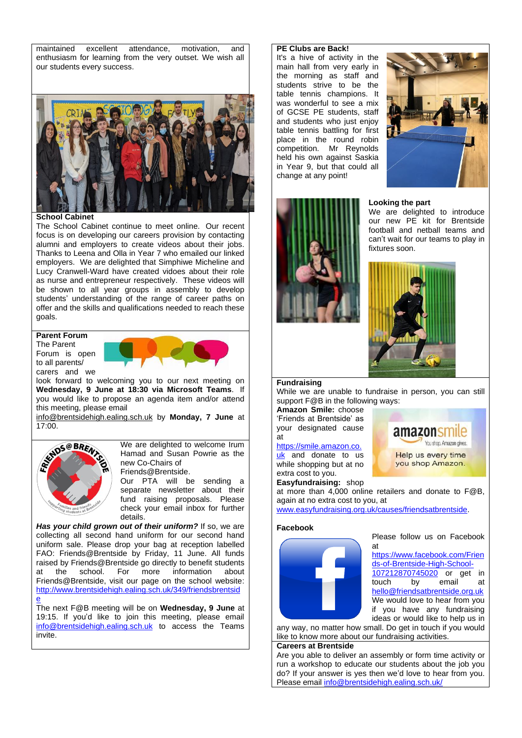maintained excellent attendance, motivation, and enthusiasm for learning from the very outset. We wish all our students every success.



**School Cabinet**

The School Cabinet continue to meet online. Our recent focus is on developing our careers provision by contacting alumni and employers to create videos about their jobs. Thanks to Leena and Olla in Year 7 who emailed our linked employers. We are delighted that Simphiwe Micheline and Lucy Cranwell-Ward have created vidoes about their role as nurse and entrepreneur respectively. These videos will be shown to all year groups in assembly to develop students' understanding of the range of career paths on offer and the skills and qualifications needed to reach these goals.

#### **Parent Forum**

The Parent Forum is open to all parents/ carers and we



look forward to welcoming you to our next meeting on **Wednesday, 9 June at 18:30 via Microsoft Teams**. If you would like to propose an agenda item and/or attend this meeting, please email

[info@brentsidehigh.ealing.sch.uk](mailto:info@brentsidehigh.ealing.sch.uk) by **Monday, 7 June** at 17:00.



We are delighted to welcome Irum Hamad and Susan Powrie as the new Co-Chairs of Friends@Brentside.

Our PTA will be sending a separate newsletter about their fund raising proposals. Please check your email inbox for further details.

*Has your child grown out of their uniform?* If so, we are collecting all second hand uniform for our second hand uniform sale. Please drop your bag at reception labelled FAO: Friends@Brentside by Friday, 11 June. All funds raised by Friends@Brentside go directly to benefit students<br>at the school. For more information about at the school. For more information about Friends@Brentside, visit our page on the school website: [http://www.brentsidehigh.ealing.sch.uk/349/friendsbrentsid](http://www.brentsidehigh.ealing.sch.uk/349/friendsbrentside) [e](http://www.brentsidehigh.ealing.sch.uk/349/friendsbrentside)

The next F@B meeting will be on **Wednesday, 9 June** at 19:15. If you'd like to join this meeting, please email [info@brentsidehigh.ealing.sch.uk](mailto:info@brentsidehigh.ealing.sch.uk) to access the Teams invite.

#### **PE Clubs are Back!**

It's a hive of activity in the main hall from very early in the morning as staff and students strive to be the table tennis champions. It was wonderful to see a mix of GCSE PE students, staff and students who just enjoy table tennis battling for first place in the round robin competition. Mr Reynolds held his own against Saskia in Year 9, but that could all change at any point!



#### **Looking the part**

We are delighted to introduce our new PE kit for Brentside football and netball teams and can't wait for our teams to play in fixtures soon.



#### **Fundraising**

While we are unable to fundraise in person, you can still support F@B in the following ways:

**Amazon Smile:** choose 'Friends at Brentside' as your designated cause at

#### [https://smile.amazon.co.](https://smile.amazon.co.uk/)

[uk](https://smile.amazon.co.uk/) and donate to us while shopping but at no extra cost to you. **Easyfundraising:** shop



at more than 4,000 online retailers and donate to F@B, again at no extra cost to you, at

[www.easyfundraising.org.uk/causes/friendsatbrentside.](http://www.easyfundraising.org.uk/causes/friendsatbrentside)

#### **Facebook**



Please follow us on Facebook at

[https://www.facebook.com/Frien](https://www.facebook.com/Friends-of-Brentside-High-School-107212870745020) [ds-of-Brentside-High-School-](https://www.facebook.com/Friends-of-Brentside-High-School-107212870745020)[107212870745020](https://www.facebook.com/Friends-of-Brentside-High-School-107212870745020) or get in touch by email at [hello@friendsatbrentside.org.uk](mailto:hello@friendsatbrentside.org.uk) We would love to hear from you if you have any fundraising ideas or would like to help us in

any way, no matter how small. Do get in touch if you would like to know more about our fundraising activities.

#### **Careers at Brentside**

Are you able to deliver an assembly or form time activity or run a workshop to educate our students about the job you do? If your answer is yes then we'd love to hear from you. Please email [info@brentsidehigh.ealing.sch.uk/](mailto:info@brentsidehigh.ealing.sch.uk/)